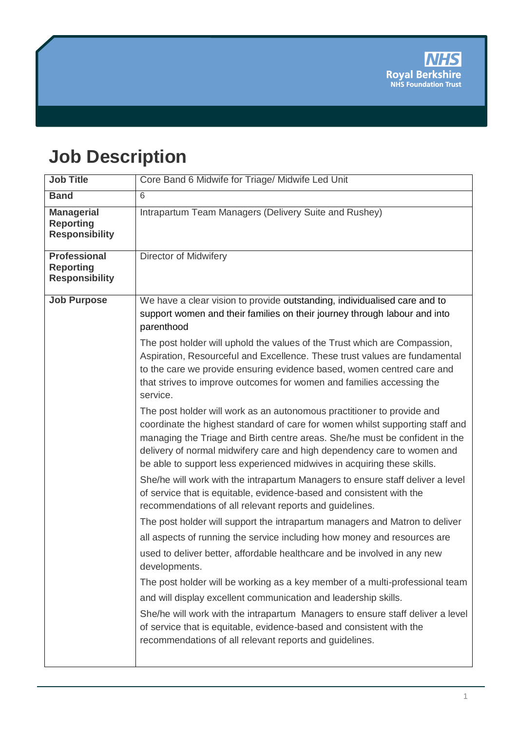# **Job Description**

| <b>Job Title</b>                                                 | Core Band 6 Midwife for Triage/ Midwife Led Unit                                                                                                                                                                                                                                                                                                                                             |
|------------------------------------------------------------------|----------------------------------------------------------------------------------------------------------------------------------------------------------------------------------------------------------------------------------------------------------------------------------------------------------------------------------------------------------------------------------------------|
| <b>Band</b>                                                      | $\overline{6}$                                                                                                                                                                                                                                                                                                                                                                               |
| <b>Managerial</b><br><b>Reporting</b><br><b>Responsibility</b>   | Intrapartum Team Managers (Delivery Suite and Rushey)                                                                                                                                                                                                                                                                                                                                        |
| <b>Professional</b><br><b>Reporting</b><br><b>Responsibility</b> | <b>Director of Midwifery</b>                                                                                                                                                                                                                                                                                                                                                                 |
| <b>Job Purpose</b>                                               | We have a clear vision to provide outstanding, individualised care and to<br>support women and their families on their journey through labour and into<br>parenthood                                                                                                                                                                                                                         |
|                                                                  | The post holder will uphold the values of the Trust which are Compassion,<br>Aspiration, Resourceful and Excellence. These trust values are fundamental<br>to the care we provide ensuring evidence based, women centred care and<br>that strives to improve outcomes for women and families accessing the<br>service.                                                                       |
|                                                                  | The post holder will work as an autonomous practitioner to provide and<br>coordinate the highest standard of care for women whilst supporting staff and<br>managing the Triage and Birth centre areas. She/he must be confident in the<br>delivery of normal midwifery care and high dependency care to women and<br>be able to support less experienced midwives in acquiring these skills. |
|                                                                  | She/he will work with the intrapartum Managers to ensure staff deliver a level<br>of service that is equitable, evidence-based and consistent with the<br>recommendations of all relevant reports and guidelines.                                                                                                                                                                            |
|                                                                  | The post holder will support the intrapartum managers and Matron to deliver                                                                                                                                                                                                                                                                                                                  |
|                                                                  | all aspects of running the service including how money and resources are                                                                                                                                                                                                                                                                                                                     |
|                                                                  | used to deliver better, affordable healthcare and be involved in any new<br>developments.                                                                                                                                                                                                                                                                                                    |
|                                                                  | The post holder will be working as a key member of a multi-professional team<br>and will display excellent communication and leadership skills.                                                                                                                                                                                                                                              |
|                                                                  | She/he will work with the intrapartum Managers to ensure staff deliver a level<br>of service that is equitable, evidence-based and consistent with the<br>recommendations of all relevant reports and guidelines.                                                                                                                                                                            |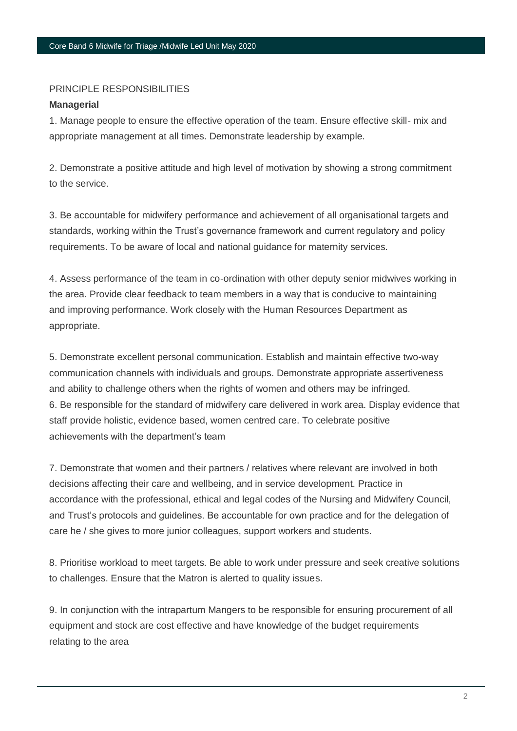#### PRINCIPLE RESPONSIBILITIES

#### **Managerial**

1. Manage people to ensure the effective operation of the team. Ensure effective skill- mix and appropriate management at all times. Demonstrate leadership by example.

2. Demonstrate a positive attitude and high level of motivation by showing a strong commitment to the service.

3. Be accountable for midwifery performance and achievement of all organisational targets and standards, working within the Trust's governance framework and current regulatory and policy requirements. To be aware of local and national guidance for maternity services.

4. Assess performance of the team in co-ordination with other deputy senior midwives working in the area. Provide clear feedback to team members in a way that is conducive to maintaining and improving performance. Work closely with the Human Resources Department as appropriate.

5. Demonstrate excellent personal communication. Establish and maintain effective two-way communication channels with individuals and groups. Demonstrate appropriate assertiveness and ability to challenge others when the rights of women and others may be infringed. 6. Be responsible for the standard of midwifery care delivered in work area. Display evidence that staff provide holistic, evidence based, women centred care. To celebrate positive achievements with the department's team

7. Demonstrate that women and their partners / relatives where relevant are involved in both decisions affecting their care and wellbeing, and in service development. Practice in accordance with the professional, ethical and legal codes of the Nursing and Midwifery Council, and Trust's protocols and guidelines. Be accountable for own practice and for the delegation of care he / she gives to more junior colleagues, support workers and students.

8. Prioritise workload to meet targets. Be able to work under pressure and seek creative solutions to challenges. Ensure that the Matron is alerted to quality issues.

9. In conjunction with the intrapartum Mangers to be responsible for ensuring procurement of all equipment and stock are cost effective and have knowledge of the budget requirements relating to the area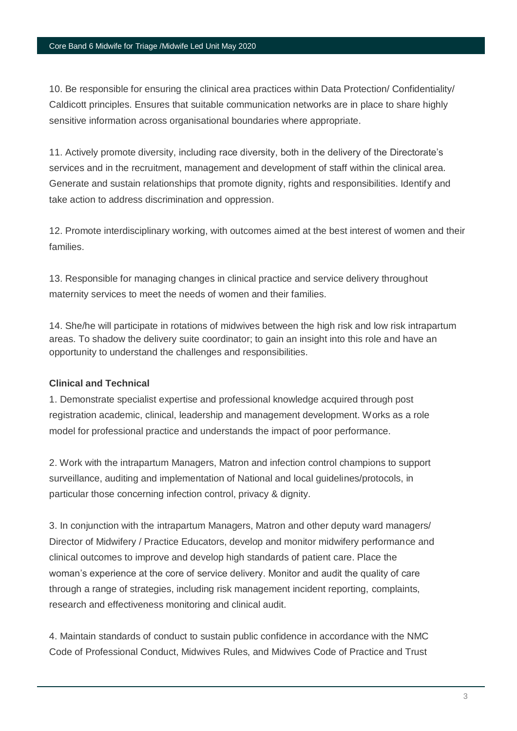10. Be responsible for ensuring the clinical area practices within Data Protection/ Confidentiality/ Caldicott principles. Ensures that suitable communication networks are in place to share highly sensitive information across organisational boundaries where appropriate.

11. Actively promote diversity, including race diversity, both in the delivery of the Directorate's services and in the recruitment, management and development of staff within the clinical area. Generate and sustain relationships that promote dignity, rights and responsibilities. Identify and take action to address discrimination and oppression.

12. Promote interdisciplinary working, with outcomes aimed at the best interest of women and their families.

13. Responsible for managing changes in clinical practice and service delivery throughout maternity services to meet the needs of women and their families.

14. She/he will participate in rotations of midwives between the high risk and low risk intrapartum areas. To shadow the delivery suite coordinator; to gain an insight into this role and have an opportunity to understand the challenges and responsibilities.

## **Clinical and Technical**

1. Demonstrate specialist expertise and professional knowledge acquired through post registration academic, clinical, leadership and management development. Works as a role model for professional practice and understands the impact of poor performance.

2. Work with the intrapartum Managers, Matron and infection control champions to support surveillance, auditing and implementation of National and local guidelines/protocols, in particular those concerning infection control, privacy & dignity.

3. In conjunction with the intrapartum Managers, Matron and other deputy ward managers/ Director of Midwifery / Practice Educators, develop and monitor midwifery performance and clinical outcomes to improve and develop high standards of patient care. Place the woman's experience at the core of service delivery. Monitor and audit the quality of care through a range of strategies, including risk management incident reporting, complaints, research and effectiveness monitoring and clinical audit.

4. Maintain standards of conduct to sustain public confidence in accordance with the NMC Code of Professional Conduct, Midwives Rules, and Midwives Code of Practice and Trust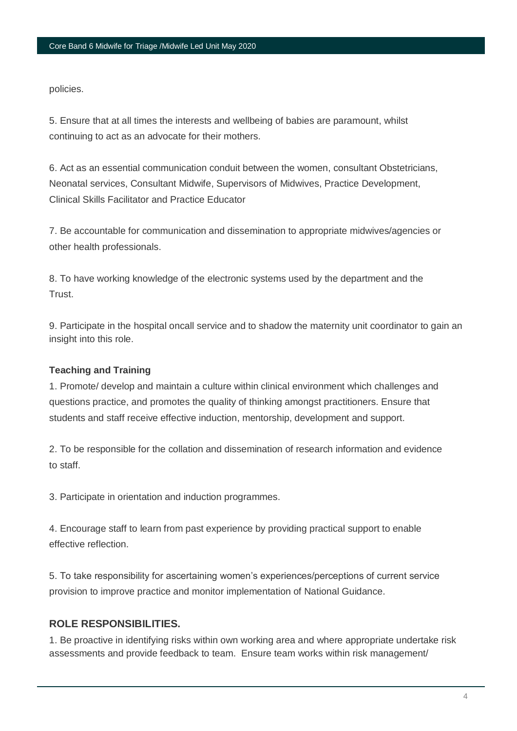policies.

5. Ensure that at all times the interests and wellbeing of babies are paramount, whilst continuing to act as an advocate for their mothers.

6. Act as an essential communication conduit between the women, consultant Obstetricians, Neonatal services, Consultant Midwife, Supervisors of Midwives, Practice Development, Clinical Skills Facilitator and Practice Educator

7. Be accountable for communication and dissemination to appropriate midwives/agencies or other health professionals.

8. To have working knowledge of the electronic systems used by the department and the Trust.

9. Participate in the hospital oncall service and to shadow the maternity unit coordinator to gain an insight into this role.

# **Teaching and Training**

1. Promote/ develop and maintain a culture within clinical environment which challenges and questions practice, and promotes the quality of thinking amongst practitioners. Ensure that students and staff receive effective induction, mentorship, development and support.

2. To be responsible for the collation and dissemination of research information and evidence to staff.

3. Participate in orientation and induction programmes.

4. Encourage staff to learn from past experience by providing practical support to enable effective reflection.

5. To take responsibility for ascertaining women's experiences/perceptions of current service provision to improve practice and monitor implementation of National Guidance.

# **ROLE RESPONSIBILITIES.**

1. Be proactive in identifying risks within own working area and where appropriate undertake risk assessments and provide feedback to team. Ensure team works within risk management/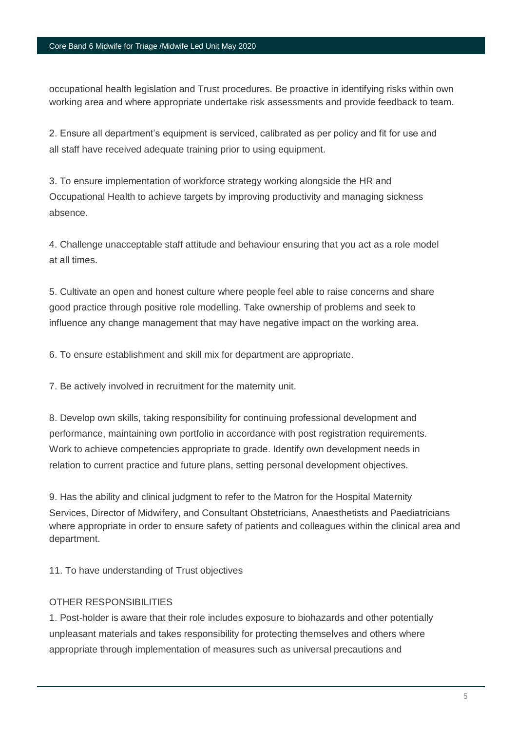#### Core Band 6 Midwife for Triage /Midwife Led Unit May 2020

occupational health legislation and Trust procedures. Be proactive in identifying risks within own working area and where appropriate undertake risk assessments and provide feedback to team.

2. Ensure all department's equipment is serviced, calibrated as per policy and fit for use and all staff have received adequate training prior to using equipment.

3. To ensure implementation of workforce strategy working alongside the HR and Occupational Health to achieve targets by improving productivity and managing sickness absence.

4. Challenge unacceptable staff attitude and behaviour ensuring that you act as a role model at all times.

5. Cultivate an open and honest culture where people feel able to raise concerns and share good practice through positive role modelling. Take ownership of problems and seek to influence any change management that may have negative impact on the working area.

6. To ensure establishment and skill mix for department are appropriate.

7. Be actively involved in recruitment for the maternity unit.

8. Develop own skills, taking responsibility for continuing professional development and performance, maintaining own portfolio in accordance with post registration requirements. Work to achieve competencies appropriate to grade. Identify own development needs in relation to current practice and future plans, setting personal development objectives.

9. Has the ability and clinical judgment to refer to the Matron for the Hospital Maternity Services, Director of Midwifery, and Consultant Obstetricians, Anaesthetists and Paediatricians where appropriate in order to ensure safety of patients and colleagues within the clinical area and department.

11. To have understanding of Trust objectives

## OTHER RESPONSIBILITIES

1. Post-holder is aware that their role includes exposure to biohazards and other potentially unpleasant materials and takes responsibility for protecting themselves and others where appropriate through implementation of measures such as universal precautions and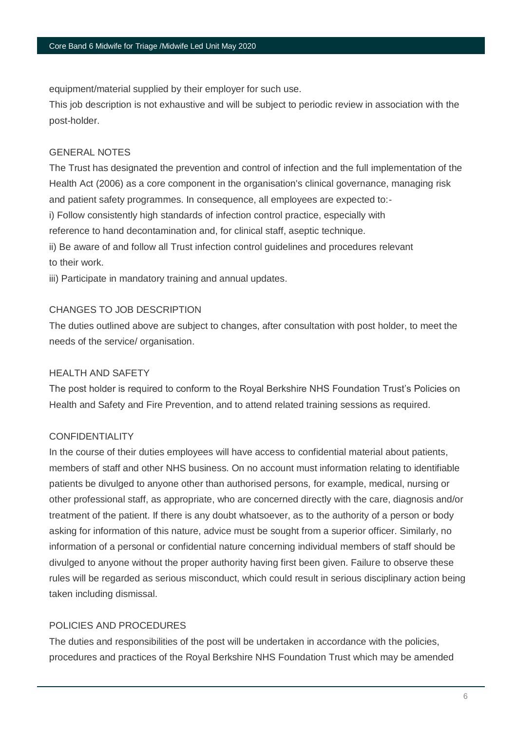equipment/material supplied by their employer for such use.

This job description is not exhaustive and will be subject to periodic review in association with the post-holder.

# GENERAL NOTES

The Trust has designated the prevention and control of infection and the full implementation of the Health Act (2006) as a core component in the organisation's clinical governance, managing risk and patient safety programmes. In consequence, all employees are expected to: i) Follow consistently high standards of infection control practice, especially with reference to hand decontamination and, for clinical staff, aseptic technique. ii) Be aware of and follow all Trust infection control guidelines and procedures relevant to their work.

iii) Participate in mandatory training and annual updates.

# CHANGES TO JOB DESCRIPTION

The duties outlined above are subject to changes, after consultation with post holder, to meet the needs of the service/ organisation.

# HEALTH AND SAFETY

The post holder is required to conform to the Royal Berkshire NHS Foundation Trust's Policies on Health and Safety and Fire Prevention, and to attend related training sessions as required.

# CONFIDENTIALITY

In the course of their duties employees will have access to confidential material about patients, members of staff and other NHS business. On no account must information relating to identifiable patients be divulged to anyone other than authorised persons, for example, medical, nursing or other professional staff, as appropriate, who are concerned directly with the care, diagnosis and/or treatment of the patient. If there is any doubt whatsoever, as to the authority of a person or body asking for information of this nature, advice must be sought from a superior officer. Similarly, no information of a personal or confidential nature concerning individual members of staff should be divulged to anyone without the proper authority having first been given. Failure to observe these rules will be regarded as serious misconduct, which could result in serious disciplinary action being taken including dismissal.

# POLICIES AND PROCEDURES

The duties and responsibilities of the post will be undertaken in accordance with the policies, procedures and practices of the Royal Berkshire NHS Foundation Trust which may be amended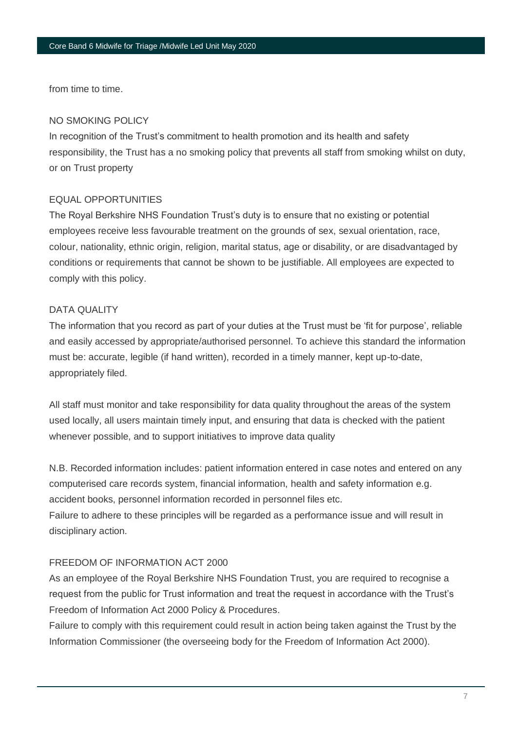from time to time.

## NO SMOKING POLICY

In recognition of the Trust's commitment to health promotion and its health and safety responsibility, the Trust has a no smoking policy that prevents all staff from smoking whilst on duty, or on Trust property

## EQUAL OPPORTUNITIES

The Royal Berkshire NHS Foundation Trust's duty is to ensure that no existing or potential employees receive less favourable treatment on the grounds of sex, sexual orientation, race, colour, nationality, ethnic origin, religion, marital status, age or disability, or are disadvantaged by conditions or requirements that cannot be shown to be justifiable. All employees are expected to comply with this policy.

## DATA QUALITY

The information that you record as part of your duties at the Trust must be 'fit for purpose', reliable and easily accessed by appropriate/authorised personnel. To achieve this standard the information must be: accurate, legible (if hand written), recorded in a timely manner, kept up-to-date, appropriately filed.

All staff must monitor and take responsibility for data quality throughout the areas of the system used locally, all users maintain timely input, and ensuring that data is checked with the patient whenever possible, and to support initiatives to improve data quality

N.B. Recorded information includes: patient information entered in case notes and entered on any computerised care records system, financial information, health and safety information e.g. accident books, personnel information recorded in personnel files etc.

Failure to adhere to these principles will be regarded as a performance issue and will result in disciplinary action.

## FREEDOM OF INFORMATION ACT 2000

As an employee of the Royal Berkshire NHS Foundation Trust, you are required to recognise a request from the public for Trust information and treat the request in accordance with the Trust's Freedom of Information Act 2000 Policy & Procedures.

Failure to comply with this requirement could result in action being taken against the Trust by the Information Commissioner (the overseeing body for the Freedom of Information Act 2000).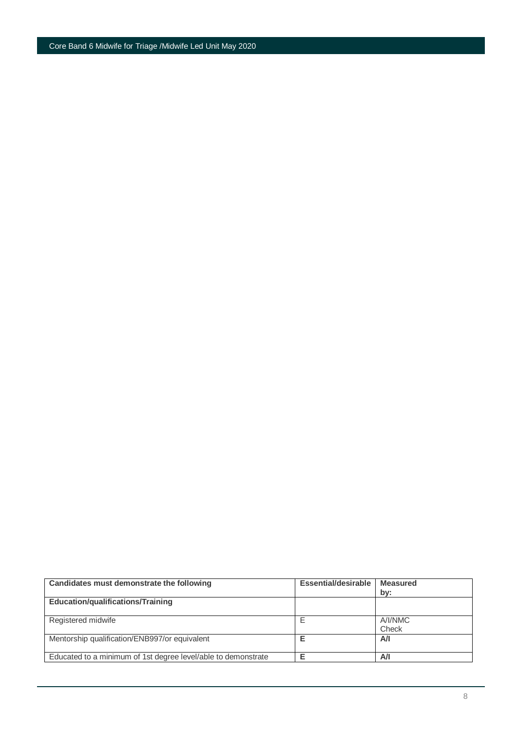| Candidates must demonstrate the following                     | <b>Essential/desirable</b> | <b>Measured</b><br>by: |
|---------------------------------------------------------------|----------------------------|------------------------|
| <b>Education/qualifications/Training</b>                      |                            |                        |
| Registered midwife                                            |                            | A/I/NMC<br>Check       |
| Mentorship qualification/ENB997/or equivalent                 |                            | A/I                    |
| Educated to a minimum of 1st degree level/able to demonstrate |                            | Α/I                    |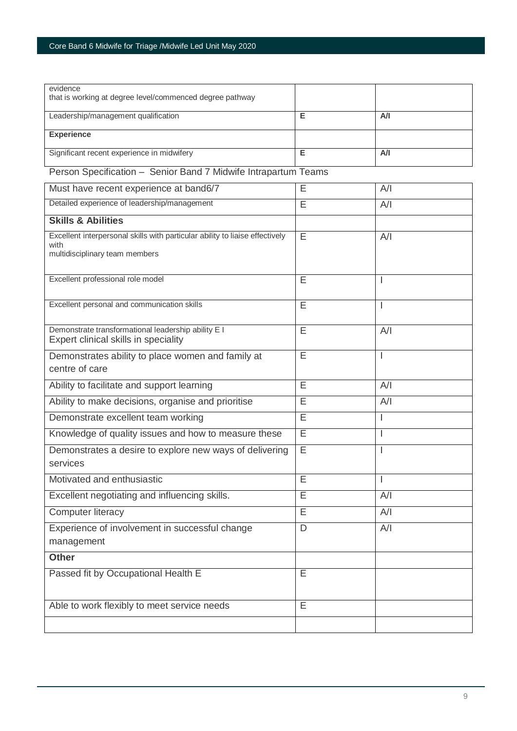| evidence                                                                                    |   |                |
|---------------------------------------------------------------------------------------------|---|----------------|
| that is working at degree level/commenced degree pathway                                    |   |                |
| Leadership/management qualification                                                         | Е | A/I            |
| <b>Experience</b>                                                                           |   |                |
| Significant recent experience in midwifery                                                  | Е | A/I            |
| Person Specification - Senior Band 7 Midwife Intrapartum Teams                              |   |                |
| Must have recent experience at band6/7                                                      | Ε | A/I            |
| Detailed experience of leadership/management                                                | E | A/I            |
| <b>Skills &amp; Abilities</b>                                                               |   |                |
| Excellent interpersonal skills with particular ability to liaise effectively<br>with        | E | A/I            |
| multidisciplinary team members                                                              |   |                |
| Excellent professional role model                                                           | E | <b>I</b>       |
| Excellent personal and communication skills                                                 | Ē |                |
| Demonstrate transformational leadership ability E I<br>Expert clinical skills in speciality | E | A/I            |
| Demonstrates ability to place women and family at                                           | Ε | T              |
| centre of care                                                                              |   |                |
| Ability to facilitate and support learning                                                  | E | A/I            |
| Ability to make decisions, organise and prioritise                                          | E | A/I            |
| Demonstrate excellent team working                                                          | E | ı              |
| Knowledge of quality issues and how to measure these                                        | Е | I.             |
| Demonstrates a desire to explore new ways of delivering<br>services                         | E | $\overline{1}$ |
| Motivated and enthusiastic                                                                  | E | I              |
| Excellent negotiating and influencing skills.                                               | E | A/I            |
| <b>Computer literacy</b>                                                                    | E | A/I            |
| Experience of involvement in successful change                                              | D | A/I            |
| management                                                                                  |   |                |
| <b>Other</b>                                                                                |   |                |
| Passed fit by Occupational Health E                                                         | E |                |
| Able to work flexibly to meet service needs                                                 | E |                |
|                                                                                             |   |                |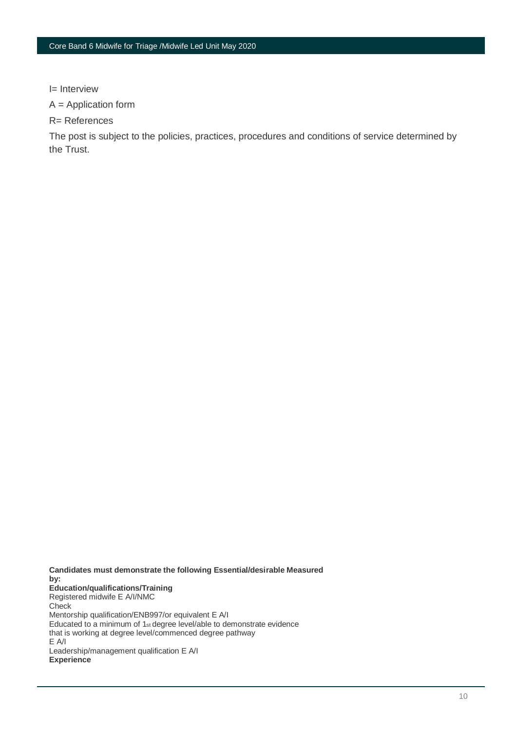I= Interview

A = Application form

R= References

The post is subject to the policies, practices, procedures and conditions of service determined by the Trust.

**Candidates must demonstrate the following Essential/desirable Measured by: Education/qualifications/Training** Registered midwife E A/I/NMC **Check** Mentorship qualification/ENB997/or equivalent E A/I Educated to a minimum of 1st degree level/able to demonstrate evidence that is working at degree level/commenced degree pathway E A/I Leadership/management qualification E A/I **Experience**